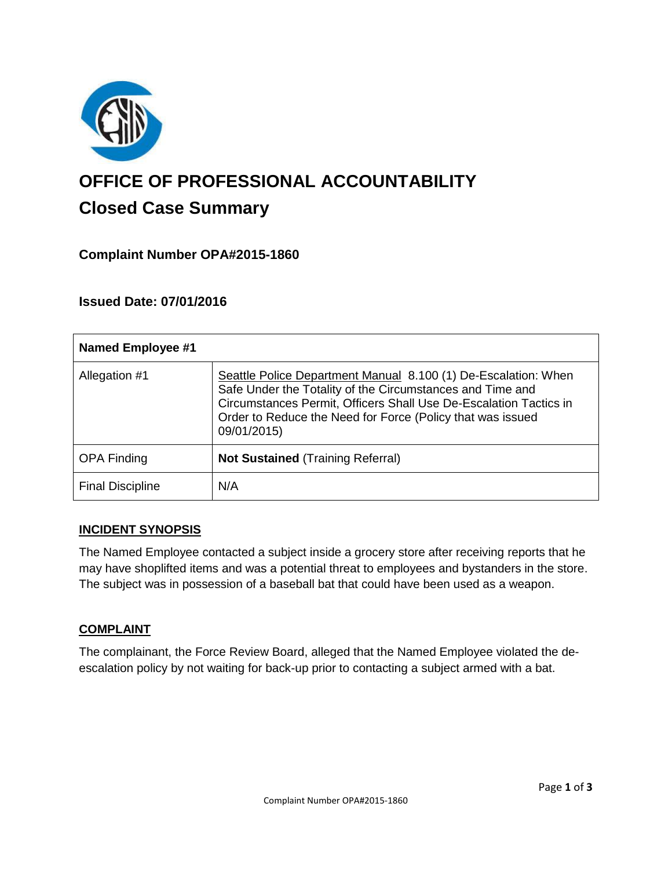

# **OFFICE OF PROFESSIONAL ACCOUNTABILITY Closed Case Summary**

# **Complaint Number OPA#2015-1860**

# **Issued Date: 07/01/2016**

| <b>Named Employee #1</b> |                                                                                                                                                                                                                                                                               |
|--------------------------|-------------------------------------------------------------------------------------------------------------------------------------------------------------------------------------------------------------------------------------------------------------------------------|
| Allegation #1            | Seattle Police Department Manual 8.100 (1) De-Escalation: When<br>Safe Under the Totality of the Circumstances and Time and<br>Circumstances Permit, Officers Shall Use De-Escalation Tactics in<br>Order to Reduce the Need for Force (Policy that was issued<br>09/01/2015) |
| <b>OPA Finding</b>       | <b>Not Sustained (Training Referral)</b>                                                                                                                                                                                                                                      |
| <b>Final Discipline</b>  | N/A                                                                                                                                                                                                                                                                           |

#### **INCIDENT SYNOPSIS**

The Named Employee contacted a subject inside a grocery store after receiving reports that he may have shoplifted items and was a potential threat to employees and bystanders in the store. The subject was in possession of a baseball bat that could have been used as a weapon.

#### **COMPLAINT**

The complainant, the Force Review Board, alleged that the Named Employee violated the deescalation policy by not waiting for back-up prior to contacting a subject armed with a bat.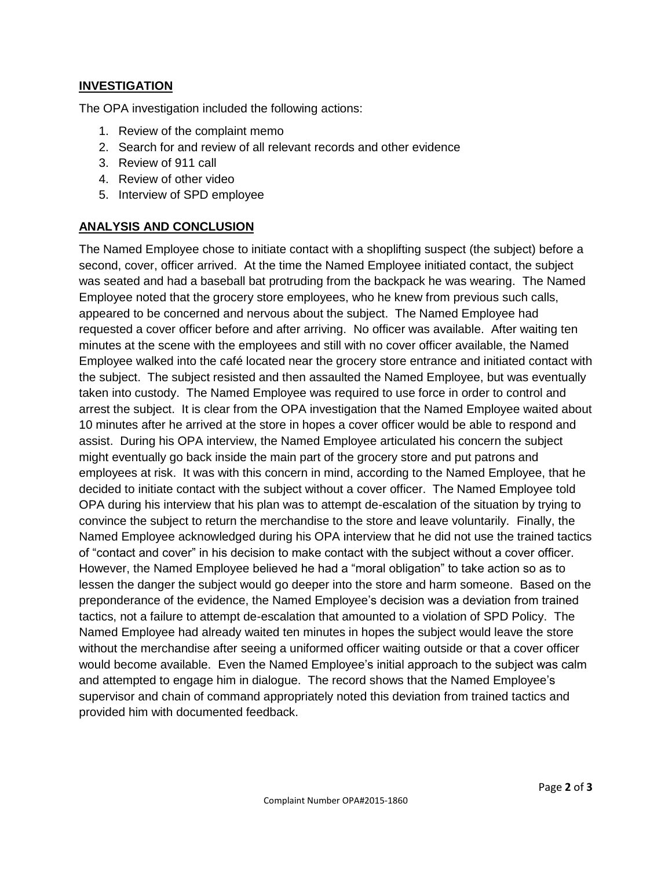## **INVESTIGATION**

The OPA investigation included the following actions:

- 1. Review of the complaint memo
- 2. Search for and review of all relevant records and other evidence
- 3. Review of 911 call
- 4. Review of other video
- 5. Interview of SPD employee

## **ANALYSIS AND CONCLUSION**

The Named Employee chose to initiate contact with a shoplifting suspect (the subject) before a second, cover, officer arrived. At the time the Named Employee initiated contact, the subject was seated and had a baseball bat protruding from the backpack he was wearing. The Named Employee noted that the grocery store employees, who he knew from previous such calls, appeared to be concerned and nervous about the subject. The Named Employee had requested a cover officer before and after arriving. No officer was available. After waiting ten minutes at the scene with the employees and still with no cover officer available, the Named Employee walked into the café located near the grocery store entrance and initiated contact with the subject. The subject resisted and then assaulted the Named Employee, but was eventually taken into custody. The Named Employee was required to use force in order to control and arrest the subject. It is clear from the OPA investigation that the Named Employee waited about 10 minutes after he arrived at the store in hopes a cover officer would be able to respond and assist. During his OPA interview, the Named Employee articulated his concern the subject might eventually go back inside the main part of the grocery store and put patrons and employees at risk. It was with this concern in mind, according to the Named Employee, that he decided to initiate contact with the subject without a cover officer. The Named Employee told OPA during his interview that his plan was to attempt de-escalation of the situation by trying to convince the subject to return the merchandise to the store and leave voluntarily. Finally, the Named Employee acknowledged during his OPA interview that he did not use the trained tactics of "contact and cover" in his decision to make contact with the subject without a cover officer. However, the Named Employee believed he had a "moral obligation" to take action so as to lessen the danger the subject would go deeper into the store and harm someone. Based on the preponderance of the evidence, the Named Employee's decision was a deviation from trained tactics, not a failure to attempt de-escalation that amounted to a violation of SPD Policy. The Named Employee had already waited ten minutes in hopes the subject would leave the store without the merchandise after seeing a uniformed officer waiting outside or that a cover officer would become available. Even the Named Employee's initial approach to the subject was calm and attempted to engage him in dialogue. The record shows that the Named Employee's supervisor and chain of command appropriately noted this deviation from trained tactics and provided him with documented feedback.